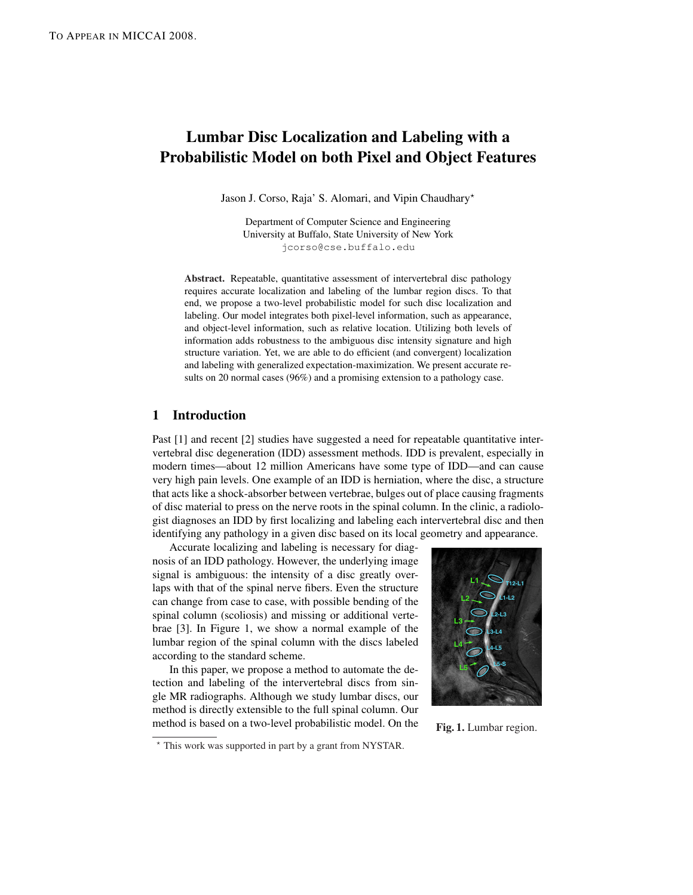# Lumbar Disc Localization and Labeling with a Probabilistic Model on both Pixel and Object Features

Jason J. Corso, Raja' S. Alomari, and Vipin Chaudhary\*

Department of Computer Science and Engineering University at Buffalo, State University of New York jcorso@cse.buffalo.edu

Abstract. Repeatable, quantitative assessment of intervertebral disc pathology requires accurate localization and labeling of the lumbar region discs. To that end, we propose a two-level probabilistic model for such disc localization and labeling. Our model integrates both pixel-level information, such as appearance, and object-level information, such as relative location. Utilizing both levels of information adds robustness to the ambiguous disc intensity signature and high structure variation. Yet, we are able to do efficient (and convergent) localization and labeling with generalized expectation-maximization. We present accurate results on 20 normal cases (96%) and a promising extension to a pathology case.

## 1 Introduction

Past [1] and recent [2] studies have suggested a need for repeatable quantitative intervertebral disc degeneration (IDD) assessment methods. IDD is prevalent, especially in modern times—about 12 million Americans have some type of IDD—and can cause very high pain levels. One example of an IDD is herniation, where the disc, a structure that acts like a shock-absorber between vertebrae, bulges out of place causing fragments of disc material to press on the nerve roots in the spinal column. In the clinic, a radiologist diagnoses an IDD by first localizing and labeling each intervertebral disc and then identifying any pathology in a given disc based on its local geometry and appearance.

Accurate localizing and labeling is necessary for diagnosis of an IDD pathology. However, the underlying image signal is ambiguous: the intensity of a disc greatly overlaps with that of the spinal nerve fibers. Even the structure can change from case to case, with possible bending of the spinal column (scoliosis) and missing or additional vertebrae [3]. In Figure 1, we show a normal example of the lumbar region of the spinal column with the discs labeled according to the standard scheme.

In this paper, we propose a method to automate the detection and labeling of the intervertebral discs from single MR radiographs. Although we study lumbar discs, our method is directly extensible to the full spinal column. Our method is based on a two-level probabilistic model. On the





Fig. 1. Lumbar region.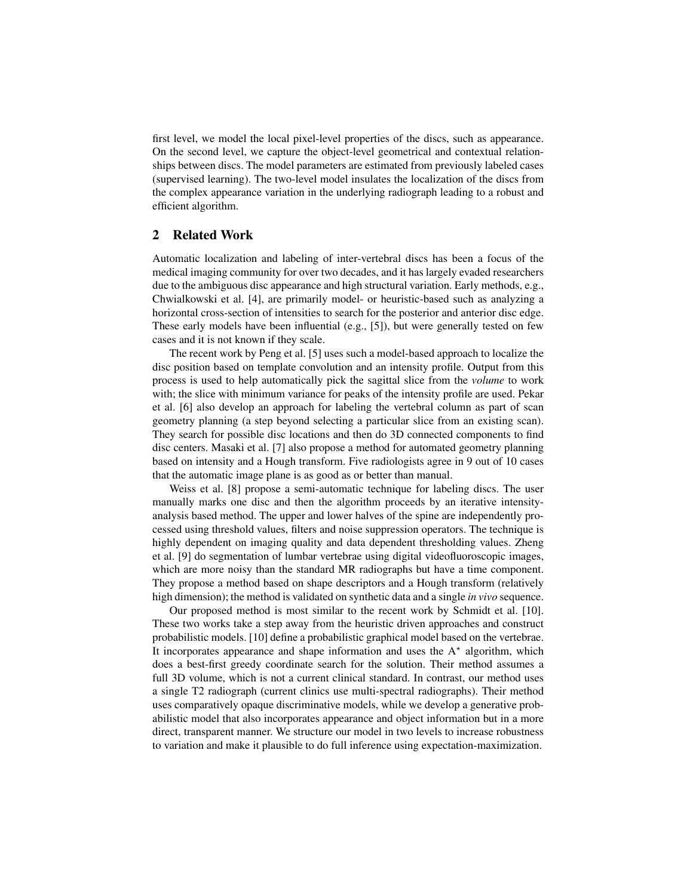first level, we model the local pixel-level properties of the discs, such as appearance. On the second level, we capture the object-level geometrical and contextual relationships between discs. The model parameters are estimated from previously labeled cases (supervised learning). The two-level model insulates the localization of the discs from the complex appearance variation in the underlying radiograph leading to a robust and efficient algorithm.

## 2 Related Work

Automatic localization and labeling of inter-vertebral discs has been a focus of the medical imaging community for over two decades, and it has largely evaded researchers due to the ambiguous disc appearance and high structural variation. Early methods, e.g., Chwialkowski et al. [4], are primarily model- or heuristic-based such as analyzing a horizontal cross-section of intensities to search for the posterior and anterior disc edge. These early models have been influential (e.g., [5]), but were generally tested on few cases and it is not known if they scale.

The recent work by Peng et al. [5] uses such a model-based approach to localize the disc position based on template convolution and an intensity profile. Output from this process is used to help automatically pick the sagittal slice from the *volume* to work with; the slice with minimum variance for peaks of the intensity profile are used. Pekar et al. [6] also develop an approach for labeling the vertebral column as part of scan geometry planning (a step beyond selecting a particular slice from an existing scan). They search for possible disc locations and then do 3D connected components to find disc centers. Masaki et al. [7] also propose a method for automated geometry planning based on intensity and a Hough transform. Five radiologists agree in 9 out of 10 cases that the automatic image plane is as good as or better than manual.

Weiss et al. [8] propose a semi-automatic technique for labeling discs. The user manually marks one disc and then the algorithm proceeds by an iterative intensityanalysis based method. The upper and lower halves of the spine are independently processed using threshold values, filters and noise suppression operators. The technique is highly dependent on imaging quality and data dependent thresholding values. Zheng et al. [9] do segmentation of lumbar vertebrae using digital videofluoroscopic images, which are more noisy than the standard MR radiographs but have a time component. They propose a method based on shape descriptors and a Hough transform (relatively high dimension); the method is validated on synthetic data and a single *in vivo* sequence.

Our proposed method is most similar to the recent work by Schmidt et al. [10]. These two works take a step away from the heuristic driven approaches and construct probabilistic models. [10] define a probabilistic graphical model based on the vertebrae. It incorporates appearance and shape information and uses the  $A^*$  algorithm, which does a best-first greedy coordinate search for the solution. Their method assumes a full 3D volume, which is not a current clinical standard. In contrast, our method uses a single T2 radiograph (current clinics use multi-spectral radiographs). Their method uses comparatively opaque discriminative models, while we develop a generative probabilistic model that also incorporates appearance and object information but in a more direct, transparent manner. We structure our model in two levels to increase robustness to variation and make it plausible to do full inference using expectation-maximization.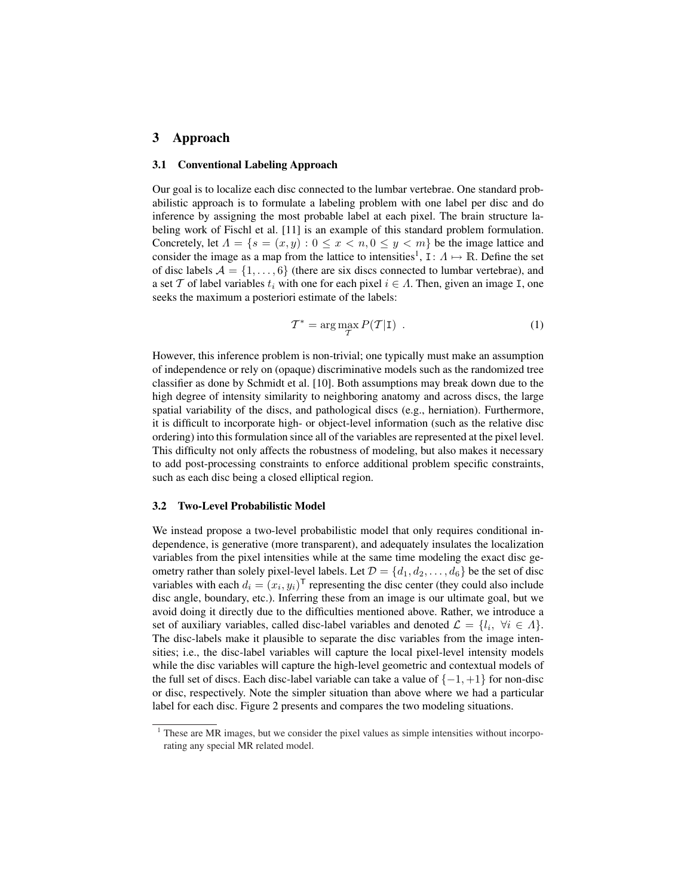### 3 Approach

#### 3.1 Conventional Labeling Approach

Our goal is to localize each disc connected to the lumbar vertebrae. One standard probabilistic approach is to formulate a labeling problem with one label per disc and do inference by assigning the most probable label at each pixel. The brain structure labeling work of Fischl et al. [11] is an example of this standard problem formulation. Concretely, let  $\Lambda = \{s = (x, y) : 0 \le x < n, 0 \le y < m\}$  be the image lattice and consider the image as a map from the lattice to intensities<sup>1</sup>,  $I: A \mapsto \mathbb{R}$ . Define the set of disc labels  $A = \{1, \ldots, 6\}$  (there are six discs connected to lumbar vertebrae), and a set T of label variables  $t_i$  with one for each pixel  $i \in A$ . Then, given an image I, one seeks the maximum a posteriori estimate of the labels:

$$
\mathcal{T}^* = \arg\max_{\mathcal{T}} P(\mathcal{T}|\mathbf{I}) \tag{1}
$$

However, this inference problem is non-trivial; one typically must make an assumption of independence or rely on (opaque) discriminative models such as the randomized tree classifier as done by Schmidt et al. [10]. Both assumptions may break down due to the high degree of intensity similarity to neighboring anatomy and across discs, the large spatial variability of the discs, and pathological discs (e.g., herniation). Furthermore, it is difficult to incorporate high- or object-level information (such as the relative disc ordering) into this formulation since all of the variables are represented at the pixel level. This difficulty not only affects the robustness of modeling, but also makes it necessary to add post-processing constraints to enforce additional problem specific constraints, such as each disc being a closed elliptical region.

#### 3.2 Two-Level Probabilistic Model

We instead propose a two-level probabilistic model that only requires conditional independence, is generative (more transparent), and adequately insulates the localization variables from the pixel intensities while at the same time modeling the exact disc geometry rather than solely pixel-level labels. Let  $\mathcal{D} = \{d_1, d_2, \dots, d_6\}$  be the set of disc variables with each  $d_i = (x_i, y_i)^{\mathsf{T}}$  representing the disc center (they could also include disc angle, boundary, etc.). Inferring these from an image is our ultimate goal, but we avoid doing it directly due to the difficulties mentioned above. Rather, we introduce a set of auxiliary variables, called disc-label variables and denoted  $\mathcal{L} = \{l_i, \forall i \in \Lambda\}.$ The disc-labels make it plausible to separate the disc variables from the image intensities; i.e., the disc-label variables will capture the local pixel-level intensity models while the disc variables will capture the high-level geometric and contextual models of the full set of discs. Each disc-label variable can take a value of  $\{-1, +1\}$  for non-disc or disc, respectively. Note the simpler situation than above where we had a particular label for each disc. Figure 2 presents and compares the two modeling situations.

 $1$  These are MR images, but we consider the pixel values as simple intensities without incorporating any special MR related model.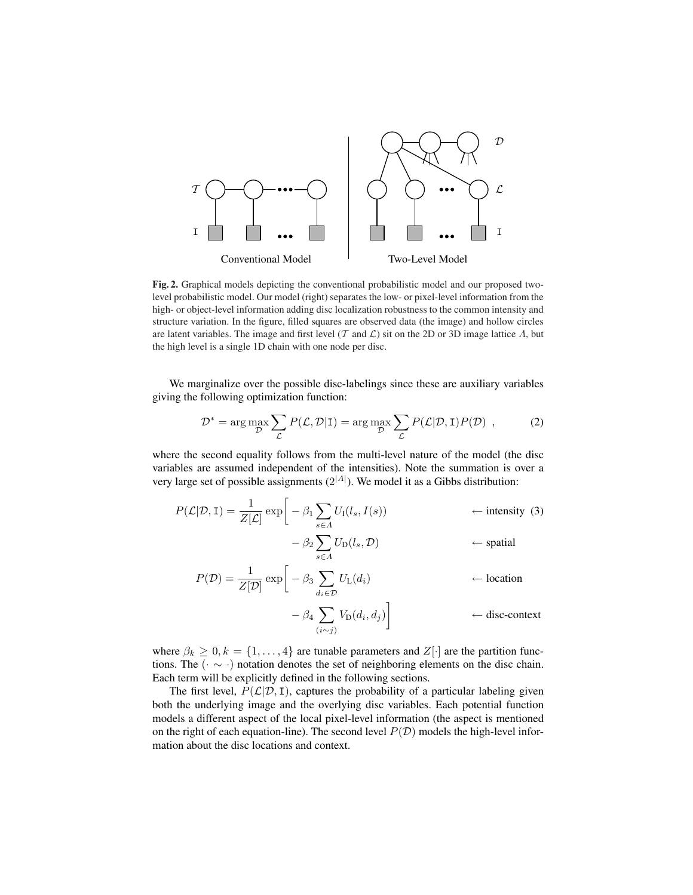

Fig. 2. Graphical models depicting the conventional probabilistic model and our proposed twolevel probabilistic model. Our model (right) separates the low- or pixel-level information from the high- or object-level information adding disc localization robustness to the common intensity and structure variation. In the figure, filled squares are observed data (the image) and hollow circles are latent variables. The image and first level (T and  $\mathcal L$ ) sit on the 2D or 3D image lattice  $\Lambda$ , but the high level is a single 1D chain with one node per disc.

We marginalize over the possible disc-labelings since these are auxiliary variables giving the following optimization function:

$$
\mathcal{D}^* = \arg \max_{\mathcal{D}} \sum_{\mathcal{L}} P(\mathcal{L}, \mathcal{D} | \mathbf{I}) = \arg \max_{\mathcal{D}} \sum_{\mathcal{L}} P(\mathcal{L} | \mathcal{D}, \mathbf{I}) P(\mathcal{D}), \tag{2}
$$

where the second equality follows from the multi-level nature of the model (the disc variables are assumed independent of the intensities). Note the summation is over a very large set of possible assignments  $(2^{|A|})$ . We model it as a Gibbs distribution:

$$
P(\mathcal{L}|\mathcal{D}, \mathbf{I}) = \frac{1}{Z[\mathcal{L}]} \exp\left[-\beta_1 \sum_{s \in \Lambda} U_{\mathbf{I}}(l_s, I(s)) \right] \leftarrow \text{intensity (3)}- \beta_2 \sum_{s \in \Lambda} U_{\mathbf{D}}(l_s, \mathcal{D}) \leftarrow \text{spatial}
$$

$$
P(\mathcal{D}) = \frac{1}{Z[\mathcal{D}]} \exp\left[-\beta_3 \sum_{d_i \in \mathcal{D}} U_L(d_i) \right. \leftarrow \text{location} \\
-\beta_4 \sum_{(i \sim j)} V_D(d_i, d_j)\right] \leftarrow \text{disc-context}
$$

where  $\beta_k \geq 0, k = \{1, \ldots, 4\}$  are tunable parameters and  $Z[\cdot]$  are the partition functions. The (· ∼ ·) notation denotes the set of neighboring elements on the disc chain. Each term will be explicitly defined in the following sections.

The first level,  $P(\mathcal{L}|\mathcal{D}, I)$ , captures the probability of a particular labeling given both the underlying image and the overlying disc variables. Each potential function models a different aspect of the local pixel-level information (the aspect is mentioned on the right of each equation-line). The second level  $P(\mathcal{D})$  models the high-level information about the disc locations and context.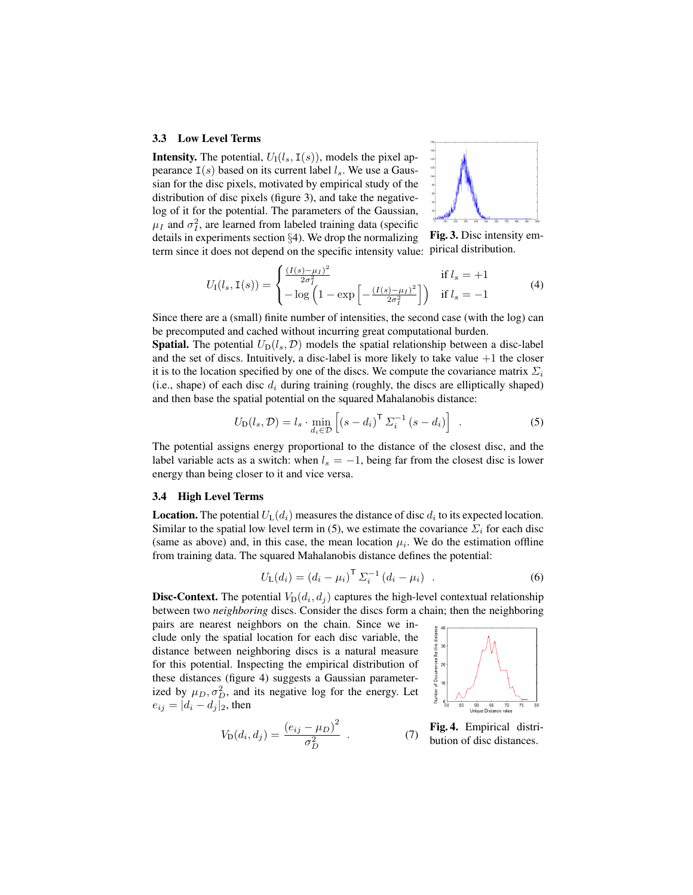#### 3.3 Low Level Terms

**Intensity.** The potential,  $U_1(l_s, I(s))$ , models the pixel appearance  $I(s)$  based on its current label  $l_s$ . We use a Gaussian for the disc pixels, motivated by empirical study of the distribution of disc pixels (figure 3), and take the negativelog of it for the potential. The parameters of the Gaussian,  $\mu_I$  and  $\sigma_I^2$ , are learned from labeled training data (specific details in experiments section §4). We drop the normalizing term since it does not depend on the specific intensity value:



Fig. 3. Disc intensity empirical distribution.

$$
U_{\rm I}(l_s, \mathbf{I}(s)) = \begin{cases} \frac{(I(s) - \mu_I)^2}{2\sigma_I^2} & \text{if } l_s = +1\\ -\log\left(1 - \exp\left[-\frac{(I(s) - \mu_I)^2}{2\sigma_I^2}\right]\right) & \text{if } l_s = -1 \end{cases}
$$
(4)

Since there are a (small) finite number of intensities, the second case (with the log) can be precomputed and cached without incurring great computational burden.

**Spatial.** The potential  $U_D(l_s, \mathcal{D})$  models the spatial relationship between a disc-label and the set of discs. Intuitively, a disc-label is more likely to take value  $+1$  the closer it is to the location specified by one of the discs. We compute the covariance matrix  $\Sigma_i$ (i.e., shape) of each disc  $d_i$  during training (roughly, the discs are elliptically shaped) and then base the spatial potential on the squared Mahalanobis distance:

$$
U_{\mathcal{D}}(l_s, \mathcal{D}) = l_s \cdot \min_{d_i \in \mathcal{D}} \left[ (s - d_i)^{\mathsf{T}} \Sigma_i^{-1} (s - d_i) \right] . \tag{5}
$$

The potential assigns energy proportional to the distance of the closest disc, and the label variable acts as a switch: when  $l_s = -1$ , being far from the closest disc is lower energy than being closer to it and vice versa.

#### 3.4 High Level Terms

**Location.** The potential  $U_L(d_i)$  measures the distance of disc  $d_i$  to its expected location. Similar to the spatial low level term in (5), we estimate the covariance  $\Sigma_i$  for each disc (same as above) and, in this case, the mean location  $\mu_i$ . We do the estimation offline from training data. The squared Mahalanobis distance defines the potential:

$$
U_{L}(d_{i}) = (d_{i} - \mu_{i})^{\mathsf{T}} \Sigma_{i}^{-1} (d_{i} - \mu_{i}) \quad . \tag{6}
$$

**Disc-Context.** The potential  $V_D(d_i, d_j)$  captures the high-level contextual relationship between two *neighboring* discs. Consider the discs form a chain; then the neighboring

pairs are nearest neighbors on the chain. Since we include only the spatial location for each disc variable, the distance between neighboring discs is a natural measure for this potential. Inspecting the empirical distribution of these distances (figure 4) suggests a Gaussian parameterized by  $\mu_D, \sigma_D^2$ , and its negative log for the energy. Let  $e_{ij} = |d_i - d_j|_2$ , then



Fig. 4. Empirical distribution of disc distances. . (7)

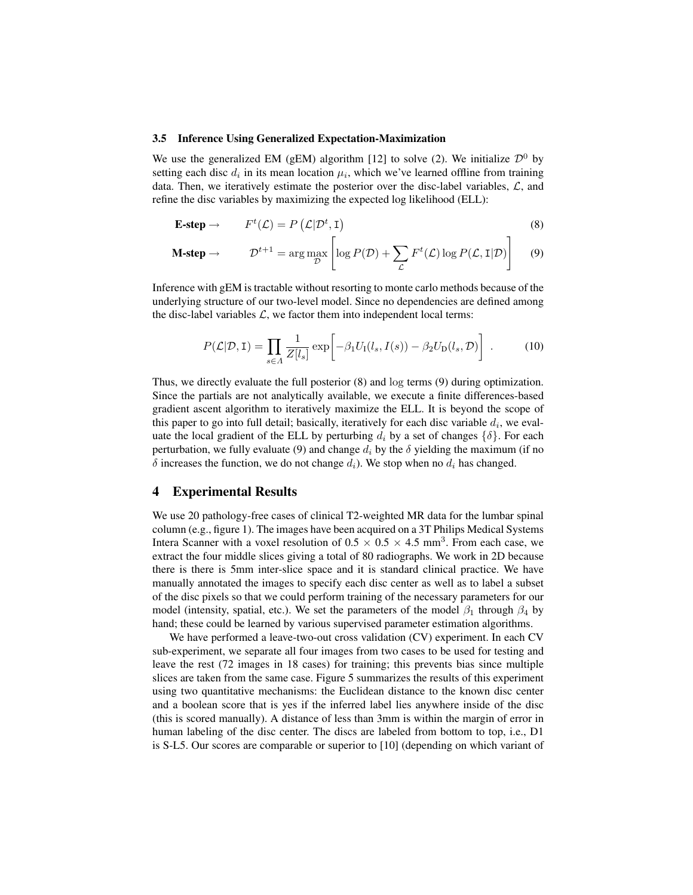#### 3.5 Inference Using Generalized Expectation-Maximization

We use the generalized EM (gEM) algorithm [12] to solve (2). We initialize  $\mathcal{D}^0$  by setting each disc  $d_i$  in its mean location  $\mu_i$ , which we've learned offline from training data. Then, we iteratively estimate the posterior over the disc-label variables,  $\mathcal{L}$ , and refine the disc variables by maximizing the expected log likelihood (ELL):

$$
\mathbf{E}\text{-step} \to \qquad F^t(\mathcal{L}) = P\left(\mathcal{L}|\mathcal{D}^t, \mathbf{I}\right) \tag{8}
$$

$$
\mathbf{M\text{-}step} \rightarrow \qquad \mathcal{D}^{t+1} = \arg\max_{\mathcal{D}} \left[ \log P(\mathcal{D}) + \sum_{\mathcal{L}} F^t(\mathcal{L}) \log P(\mathcal{L}, \mathbf{I}|\mathcal{D}) \right] \tag{9}
$$

Inference with gEM is tractable without resorting to monte carlo methods because of the underlying structure of our two-level model. Since no dependencies are defined among the disc-label variables  $\mathcal{L}$ , we factor them into independent local terms:

$$
P(\mathcal{L}|\mathcal{D}, \mathbf{I}) = \prod_{s \in \Lambda} \frac{1}{Z[l_s]} \exp\bigg[ -\beta_1 U_{\mathbf{I}}(l_s, I(s)) - \beta_2 U_{\mathbf{D}}(l_s, \mathcal{D}) \bigg] . \tag{10}
$$

Thus, we directly evaluate the full posterior (8) and log terms (9) during optimization. Since the partials are not analytically available, we execute a finite differences-based gradient ascent algorithm to iteratively maximize the ELL. It is beyond the scope of this paper to go into full detail; basically, iteratively for each disc variable  $d_i$ , we evaluate the local gradient of the ELL by perturbing  $d_i$  by a set of changes  $\{\delta\}$ . For each perturbation, we fully evaluate (9) and change  $d_i$  by the  $\delta$  yielding the maximum (if no  $\delta$  increases the function, we do not change  $d_i$ ). We stop when no  $d_i$  has changed.

## 4 Experimental Results

We use 20 pathology-free cases of clinical T2-weighted MR data for the lumbar spinal column (e.g., figure 1). The images have been acquired on a 3T Philips Medical Systems Intera Scanner with a voxel resolution of  $0.5 \times 0.5 \times 4.5$  mm<sup>3</sup>. From each case, we extract the four middle slices giving a total of 80 radiographs. We work in 2D because there is there is 5mm inter-slice space and it is standard clinical practice. We have manually annotated the images to specify each disc center as well as to label a subset of the disc pixels so that we could perform training of the necessary parameters for our model (intensity, spatial, etc.). We set the parameters of the model  $\beta_1$  through  $\beta_4$  by hand; these could be learned by various supervised parameter estimation algorithms.

We have performed a leave-two-out cross validation (CV) experiment. In each CV sub-experiment, we separate all four images from two cases to be used for testing and leave the rest (72 images in 18 cases) for training; this prevents bias since multiple slices are taken from the same case. Figure 5 summarizes the results of this experiment using two quantitative mechanisms: the Euclidean distance to the known disc center and a boolean score that is yes if the inferred label lies anywhere inside of the disc (this is scored manually). A distance of less than 3mm is within the margin of error in human labeling of the disc center. The discs are labeled from bottom to top, i.e., D1 is S-L5. Our scores are comparable or superior to [10] (depending on which variant of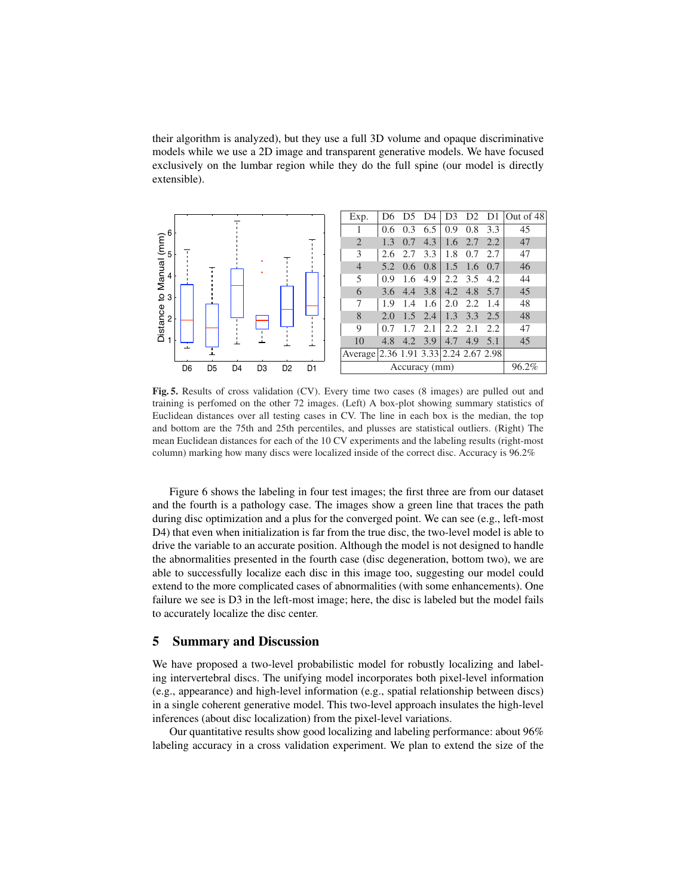their algorithm is analyzed), but they use a full 3D volume and opaque discriminative models while we use a 2D image and transparent generative models. We have focused exclusively on the lumbar region while they do the full spine (our model is directly extensible).



Fig. 5. Results of cross validation (CV). Every time two cases (8 images) are pulled out and training is perfomed on the other 72 images. (Left) A box-plot showing summary statistics of Euclidean distances over all testing cases in CV. The line in each box is the median, the top and bottom are the 75th and 25th percentiles, and plusses are statistical outliers. (Right) The mean Euclidean distances for each of the 10 CV experiments and the labeling results (right-most column) marking how many discs were localized inside of the correct disc. Accuracy is 96.2%

Figure 6 shows the labeling in four test images; the first three are from our dataset and the fourth is a pathology case. The images show a green line that traces the path during disc optimization and a plus for the converged point. We can see (e.g., left-most D4) that even when initialization is far from the true disc, the two-level model is able to drive the variable to an accurate position. Although the model is not designed to handle the abnormalities presented in the fourth case (disc degeneration, bottom two), we are able to successfully localize each disc in this image too, suggesting our model could extend to the more complicated cases of abnormalities (with some enhancements). One failure we see is D3 in the left-most image; here, the disc is labeled but the model fails to accurately localize the disc center.

## 5 Summary and Discussion

We have proposed a two-level probabilistic model for robustly localizing and labeling intervertebral discs. The unifying model incorporates both pixel-level information (e.g., appearance) and high-level information (e.g., spatial relationship between discs) in a single coherent generative model. This two-level approach insulates the high-level inferences (about disc localization) from the pixel-level variations.

Our quantitative results show good localizing and labeling performance: about 96% labeling accuracy in a cross validation experiment. We plan to extend the size of the